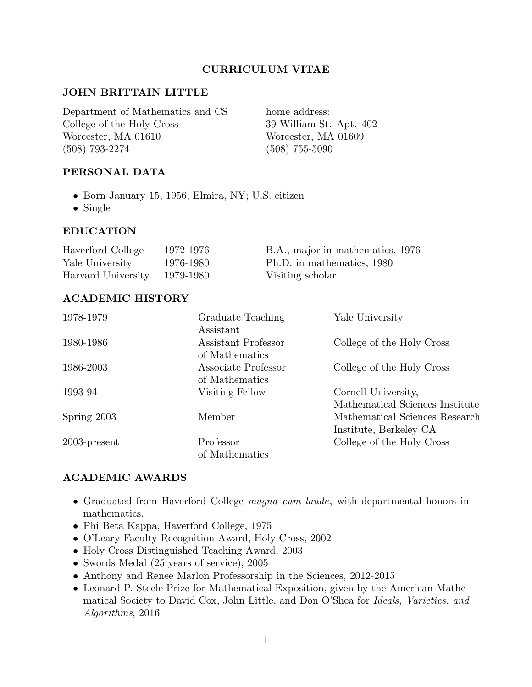## CURRICULUM VITAE

### JOHN BRITTAIN LITTLE

Department of Mathematics and CS home address: College of the Holy Cross 39 William St. Apt. 402 Worcester, MA 01610 Worcester, MA 01609 (508) 793-2274 (508) 755-5090

PERSONAL DATA

- Born January 15, 1956, Elmira, NY; U.S. citizen
- Single

#### EDUCATION

| Haverford College            | 1972-1976 | B.A., major in mathematics, 1976 |
|------------------------------|-----------|----------------------------------|
| Yale University              | 1976-1980 | Ph.D. in mathematics, 1980       |
| Harvard University 1979-1980 |           | Visiting scholar                 |

### ACADEMIC HISTORY

| 1978-1979       | Graduate Teaching   | Yale University                 |
|-----------------|---------------------|---------------------------------|
|                 | Assistant           |                                 |
| 1980-1986       | Assistant Professor | College of the Holy Cross       |
|                 | of Mathematics      |                                 |
| 1986-2003       | Associate Professor | College of the Holy Cross       |
|                 | of Mathematics      |                                 |
| 1993-94         | Visiting Fellow     | Cornell University,             |
|                 |                     | Mathematical Sciences Institute |
| Spring 2003     | Member              | Mathematical Sciences Research  |
|                 |                     | Institute, Berkeley CA          |
| $2003$ -present | Professor           | College of the Holy Cross       |
|                 | of Mathematics      |                                 |
|                 |                     |                                 |

### ACADEMIC AWARDS

- Graduated from Haverford College *magna cum laude*, with departmental honors in mathematics.
- Phi Beta Kappa, Haverford College, 1975
- O'Leary Faculty Recognition Award, Holy Cross, 2002
- Holy Cross Distinguished Teaching Award, 2003
- Swords Medal (25 years of service), 2005
- Anthony and Renee Marlon Professorship in the Sciences, 2012-2015
- Leonard P. Steele Prize for Mathematical Exposition, given by the American Mathematical Society to David Cox, John Little, and Don O'Shea for Ideals, Varieties, and Algorithms, 2016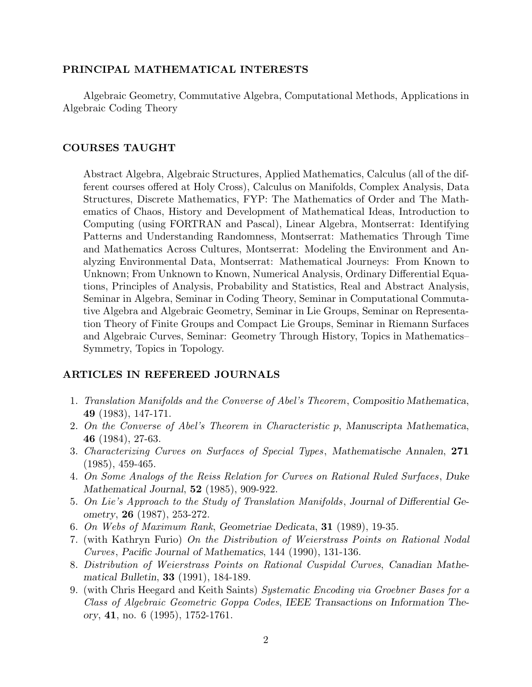#### PRINCIPAL MATHEMATICAL INTERESTS

Algebraic Geometry, Commutative Algebra, Computational Methods, Applications in Algebraic Coding Theory

#### COURSES TAUGHT

Abstract Algebra, Algebraic Structures, Applied Mathematics, Calculus (all of the different courses offered at Holy Cross), Calculus on Manifolds, Complex Analysis, Data Structures, Discrete Mathematics, FYP: The Mathematics of Order and The Mathematics of Chaos, History and Development of Mathematical Ideas, Introduction to Computing (using FORTRAN and Pascal), Linear Algebra, Montserrat: Identifying Patterns and Understanding Randomness, Montserrat: Mathematics Through Time and Mathematics Across Cultures, Montserrat: Modeling the Environment and Analyzing Environmental Data, Montserrat: Mathematical Journeys: From Known to Unknown; From Unknown to Known, Numerical Analysis, Ordinary Differential Equations, Principles of Analysis, Probability and Statistics, Real and Abstract Analysis, Seminar in Algebra, Seminar in Coding Theory, Seminar in Computational Commutative Algebra and Algebraic Geometry, Seminar in Lie Groups, Seminar on Representation Theory of Finite Groups and Compact Lie Groups, Seminar in Riemann Surfaces and Algebraic Curves, Seminar: Geometry Through History, Topics in Mathematics– Symmetry, Topics in Topology.

### ARTICLES IN REFEREED JOURNALS

- 1. Translation Manifolds and the Converse of Abel's Theorem, Compositio Mathematica, 49 (1983), 147-171.
- 2. On the Converse of Abel's Theorem in Characteristic p, Manuscripta Mathematica, 46 (1984), 27-63.
- 3. Characterizing Curves on Surfaces of Special Types, Mathematische Annalen, 271 (1985), 459-465.
- 4. On Some Analogs of the Reiss Relation for Curves on Rational Ruled Surfaces, Duke Mathematical Journal, 52 (1985), 909-922.
- 5. On Lie's Approach to the Study of Translation Manifolds, Journal of Differential Geometry, 26 (1987), 253-272.
- 6. On Webs of Maximum Rank, Geometriae Dedicata, 31 (1989), 19-35.
- 7. (with Kathryn Furio) On the Distribution of Weierstrass Points on Rational Nodal Curves, Pacific Journal of Mathematics, 144 (1990), 131-136.
- 8. Distribution of Weierstrass Points on Rational Cuspidal Curves, Canadian Mathematical Bulletin, 33 (1991), 184-189.
- 9. (with Chris Heegard and Keith Saints) Systematic Encoding via Groebner Bases for a Class of Algebraic Geometric Goppa Codes, IEEE Transactions on Information Theory, 41, no. 6 (1995), 1752-1761.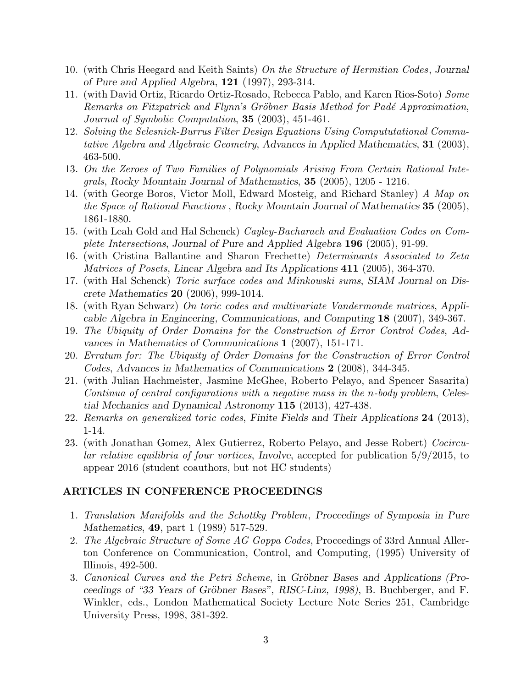- 10. (with Chris Heegard and Keith Saints) On the Structure of Hermitian Codes, Journal of Pure and Applied Algebra, 121 (1997), 293-314.
- 11. (with David Ortiz, Ricardo Ortiz-Rosado, Rebecca Pablo, and Karen Rios-Soto) Some Remarks on Fitzpatrick and Flynn's Gröbner Basis Method for Padé Approximation, Journal of Symbolic Computation, 35 (2003), 451-461.
- 12. Solving the Selesnick-Burrus Filter Design Equations Using Compututational Commutative Algebra and Algebraic Geometry, Advances in Applied Mathematics, 31 (2003), 463-500.
- 13. On the Zeroes of Two Families of Polynomials Arising From Certain Rational Integrals, Rocky Mountain Journal of Mathematics, 35 (2005), 1205 - 1216.
- 14. (with George Boros, Victor Moll, Edward Mosteig, and Richard Stanley) A Map on the Space of Rational Functions , Rocky Mountain Journal of Mathematics 35 (2005), 1861-1880.
- 15. (with Leah Gold and Hal Schenck) Cayley-Bacharach and Evaluation Codes on Complete Intersections, Journal of Pure and Applied Algebra 196 (2005), 91-99.
- 16. (with Cristina Ballantine and Sharon Frechette) Determinants Associated to Zeta Matrices of Posets, Linear Algebra and Its Applications 411 (2005), 364-370.
- 17. (with Hal Schenck) Toric surface codes and Minkowski sums, SIAM Journal on Discrete Mathematics 20 (2006), 999-1014.
- 18. (with Ryan Schwarz) On toric codes and multivariate Vandermonde matrices, Applicable Algebra in Engineering, Communications, and Computing 18 (2007), 349-367.
- 19. The Ubiquity of Order Domains for the Construction of Error Control Codes, Advances in Mathematics of Communications 1 (2007), 151-171.
- 20. Erratum for: The Ubiquity of Order Domains for the Construction of Error Control Codes, Advances in Mathematics of Communications 2 (2008), 344-345.
- 21. (with Julian Hachmeister, Jasmine McGhee, Roberto Pelayo, and Spencer Sasarita) Continua of central configurations with a negative mass in the n-body problem, Celestial Mechanics and Dynamical Astronomy 115 (2013), 427-438.
- 22. Remarks on generalized toric codes, Finite Fields and Their Applications 24 (2013), 1-14.
- 23. (with Jonathan Gomez, Alex Gutierrez, Roberto Pelayo, and Jesse Robert) Cocircular relative equilibria of four vortices, Involve, accepted for publication 5/9/2015, to appear 2016 (student coauthors, but not HC students)

### ARTICLES IN CONFERENCE PROCEEDINGS

- 1. Translation Manifolds and the Schottky Problem, Proceedings of Symposia in Pure Mathematics, **49**, part 1 (1989) 517-529.
- 2. The Algebraic Structure of Some AG Goppa Codes, Proceedings of 33rd Annual Allerton Conference on Communication, Control, and Computing, (1995) University of Illinois, 492-500.
- 3. Canonical Curves and the Petri Scheme, in Gröbner Bases and Applications (Proceedings of "33 Years of Gröbner Bases", RISC-Linz, 1998), B. Buchberger, and F. Winkler, eds., London Mathematical Society Lecture Note Series 251, Cambridge University Press, 1998, 381-392.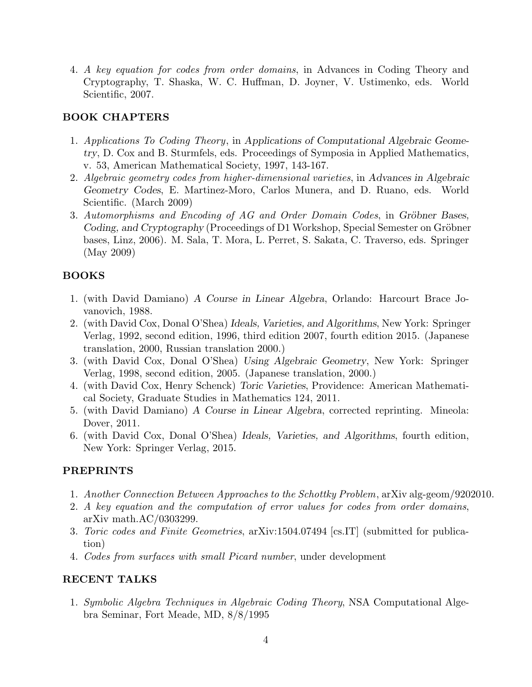4. A key equation for codes from order domains, in Advances in Coding Theory and Cryptography, T. Shaska, W. C. Huffman, D. Joyner, V. Ustimenko, eds. World Scientific, 2007.

# BOOK CHAPTERS

- 1. Applications To Coding Theory, in Applications of Computational Algebraic Geometry, D. Cox and B. Sturmfels, eds. Proceedings of Symposia in Applied Mathematics, v. 53, American Mathematical Society, 1997, 143-167.
- 2. Algebraic geometry codes from higher-dimensional varieties, in Advances in Algebraic Geometry Codes, E. Martinez-Moro, Carlos Munera, and D. Ruano, eds. World Scientific. (March 2009)
- 3. Automorphisms and Encoding of AG and Order Domain Codes, in Gröbner Bases, Coding, and Cryptography (Proceedings of D1 Workshop, Special Semester on Gröbner bases, Linz, 2006). M. Sala, T. Mora, L. Perret, S. Sakata, C. Traverso, eds. Springer (May 2009)

# BOOKS

- 1. (with David Damiano) A Course in Linear Algebra, Orlando: Harcourt Brace Jovanovich, 1988.
- 2. (with David Cox, Donal O'Shea) Ideals, Varieties, and Algorithms, New York: Springer Verlag, 1992, second edition, 1996, third edition 2007, fourth edition 2015. (Japanese translation, 2000, Russian translation 2000.)
- 3. (with David Cox, Donal O'Shea) Using Algebraic Geometry, New York: Springer Verlag, 1998, second edition, 2005. (Japanese translation, 2000.)
- 4. (with David Cox, Henry Schenck) Toric Varieties, Providence: American Mathematical Society, Graduate Studies in Mathematics 124, 2011.
- 5. (with David Damiano) A Course in Linear Algebra, corrected reprinting. Mineola: Dover, 2011.
- 6. (with David Cox, Donal O'Shea) Ideals, Varieties, and Algorithms, fourth edition, New York: Springer Verlag, 2015.

## PREPRINTS

- 1. Another Connection Between Approaches to the Schottky Problem, arXiv alg-geom/9202010.
- 2. A key equation and the computation of error values for codes from order domains, arXiv math.AC/0303299.
- 3. Toric codes and Finite Geometries, arXiv:1504.07494 [cs.IT] (submitted for publication)
- 4. Codes from surfaces with small Picard number, under development

## RECENT TALKS

1. Symbolic Algebra Techniques in Algebraic Coding Theory, NSA Computational Algebra Seminar, Fort Meade, MD, 8/8/1995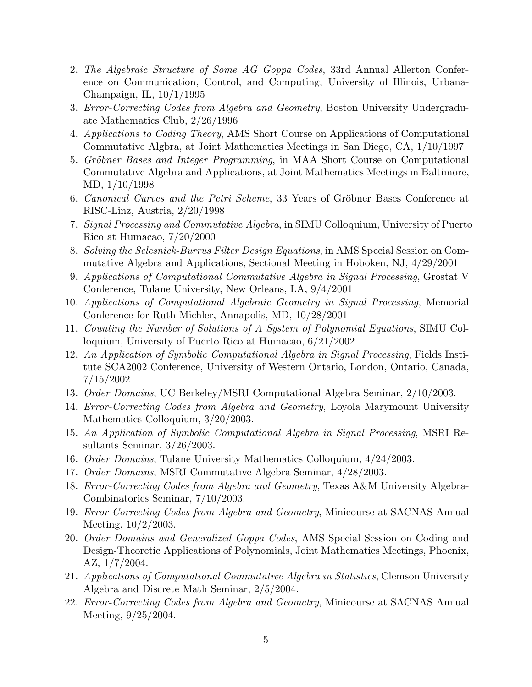- 2. The Algebraic Structure of Some AG Goppa Codes, 33rd Annual Allerton Conference on Communication, Control, and Computing, University of Illinois, Urbana-Champaign, IL, 10/1/1995
- 3. Error-Correcting Codes from Algebra and Geometry, Boston University Undergraduate Mathematics Club, 2/26/1996
- 4. Applications to Coding Theory, AMS Short Course on Applications of Computational Commutative Algbra, at Joint Mathematics Meetings in San Diego, CA, 1/10/1997
- 5. Gröbner Bases and Integer Programming, in MAA Short Course on Computational Commutative Algebra and Applications, at Joint Mathematics Meetings in Baltimore, MD, 1/10/1998
- 6. Canonical Curves and the Petri Scheme, 33 Years of Gröbner Bases Conference at RISC-Linz, Austria, 2/20/1998
- 7. Signal Processing and Commutative Algebra, in SIMU Colloquium, University of Puerto Rico at Humacao, 7/20/2000
- 8. Solving the Selesnick-Burrus Filter Design Equations, in AMS Special Session on Commutative Algebra and Applications, Sectional Meeting in Hoboken, NJ, 4/29/2001
- 9. Applications of Computational Commutative Algebra in Signal Processing, Grostat V Conference, Tulane University, New Orleans, LA, 9/4/2001
- 10. Applications of Computational Algebraic Geometry in Signal Processing, Memorial Conference for Ruth Michler, Annapolis, MD, 10/28/2001
- 11. Counting the Number of Solutions of A System of Polynomial Equations, SIMU Colloquium, University of Puerto Rico at Humacao, 6/21/2002
- 12. An Application of Symbolic Computational Algebra in Signal Processing, Fields Institute SCA2002 Conference, University of Western Ontario, London, Ontario, Canada, 7/15/2002
- 13. Order Domains, UC Berkeley/MSRI Computational Algebra Seminar, 2/10/2003.
- 14. Error-Correcting Codes from Algebra and Geometry, Loyola Marymount University Mathematics Colloquium, 3/20/2003.
- 15. An Application of Symbolic Computational Algebra in Signal Processing, MSRI Resultants Seminar, 3/26/2003.
- 16. Order Domains, Tulane University Mathematics Colloquium, 4/24/2003.
- 17. Order Domains, MSRI Commutative Algebra Seminar, 4/28/2003.
- 18. Error-Correcting Codes from Algebra and Geometry, Texas A&M University Algebra-Combinatorics Seminar, 7/10/2003.
- 19. Error-Correcting Codes from Algebra and Geometry, Minicourse at SACNAS Annual Meeting, 10/2/2003.
- 20. Order Domains and Generalized Goppa Codes, AMS Special Session on Coding and Design-Theoretic Applications of Polynomials, Joint Mathematics Meetings, Phoenix, AZ, 1/7/2004.
- 21. Applications of Computational Commutative Algebra in Statistics, Clemson University Algebra and Discrete Math Seminar, 2/5/2004.
- 22. Error-Correcting Codes from Algebra and Geometry, Minicourse at SACNAS Annual Meeting, 9/25/2004.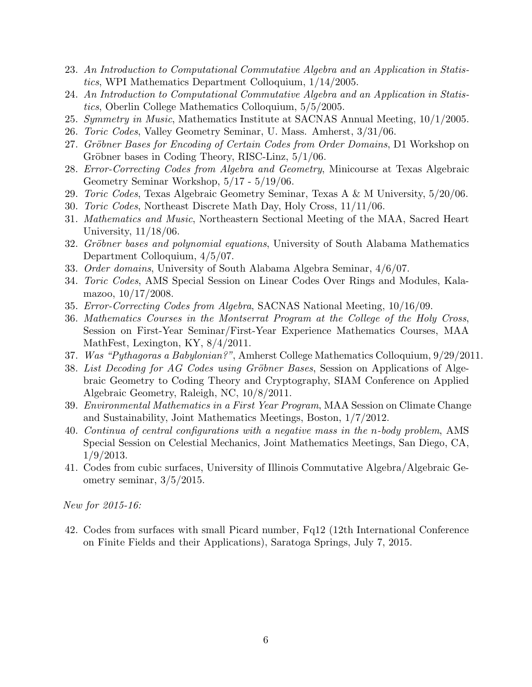- 23. An Introduction to Computational Commutative Algebra and an Application in Statistics, WPI Mathematics Department Colloquium, 1/14/2005.
- 24. An Introduction to Computational Commutative Algebra and an Application in Statistics, Oberlin College Mathematics Colloquium, 5/5/2005.
- 25. Symmetry in Music, Mathematics Institute at SACNAS Annual Meeting, 10/1/2005.
- 26. Toric Codes, Valley Geometry Seminar, U. Mass. Amherst, 3/31/06.
- 27. Gröbner Bases for Encoding of Certain Codes from Order Domains, D1 Workshop on Gröbner bases in Coding Theory, RISC-Linz,  $5/1/06$ .
- 28. Error-Correcting Codes from Algebra and Geometry, Minicourse at Texas Algebraic Geometry Seminar Workshop, 5/17 - 5/19/06.
- 29. Toric Codes, Texas Algebraic Geometry Seminar, Texas A & M University, 5/20/06.
- 30. Toric Codes, Northeast Discrete Math Day, Holy Cross, 11/11/06.
- 31. Mathematics and Music, Northeastern Sectional Meeting of the MAA, Sacred Heart University, 11/18/06.
- 32. Gröbner bases and polynomial equations, University of South Alabama Mathematics Department Colloquium, 4/5/07.
- 33. Order domains, University of South Alabama Algebra Seminar, 4/6/07.
- 34. Toric Codes, AMS Special Session on Linear Codes Over Rings and Modules, Kalamazoo, 10/17/2008.
- 35. Error-Correcting Codes from Algebra, SACNAS National Meeting, 10/16/09.
- 36. Mathematics Courses in the Montserrat Program at the College of the Holy Cross, Session on First-Year Seminar/First-Year Experience Mathematics Courses, MAA MathFest, Lexington, KY, 8/4/2011.
- 37. Was "Pythagoras a Babylonian?", Amherst College Mathematics Colloquium, 9/29/2011.
- 38. List Decoding for AG Codes using Gröbner Bases, Session on Applications of Algebraic Geometry to Coding Theory and Cryptography, SIAM Conference on Applied Algebraic Geometry, Raleigh, NC, 10/8/2011.
- 39. Environmental Mathematics in a First Year Program, MAA Session on Climate Change and Sustainability, Joint Mathematics Meetings, Boston, 1/7/2012.
- 40. Continua of central configurations with a negative mass in the n-body problem, AMS Special Session on Celestial Mechanics, Joint Mathematics Meetings, San Diego, CA, 1/9/2013.
- 41. Codes from cubic surfaces, University of Illinois Commutative Algebra/Algebraic Geometry seminar, 3/5/2015.

New for 2015-16:

42. Codes from surfaces with small Picard number, Fq12 (12th International Conference on Finite Fields and their Applications), Saratoga Springs, July 7, 2015.